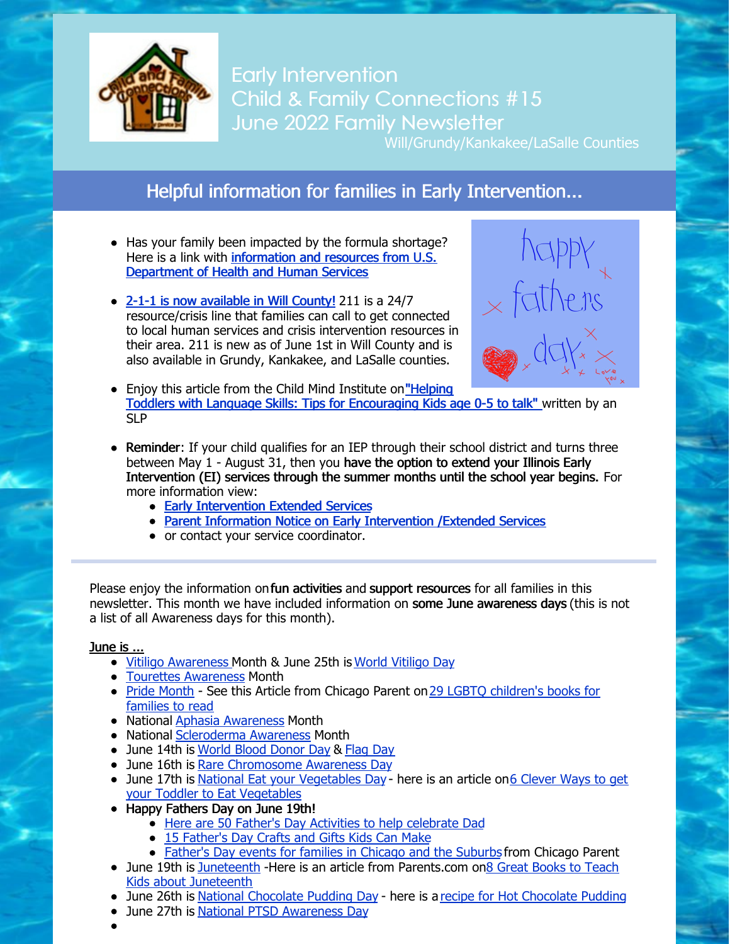

**Early Intervention** Child & Family Connections #15 June 2022 Family Newsletter

Will/Grundy/Kankakee/LaSalle Counties

### Helpful information for families in Early Intervention...

- Has your family been impacted by the formula shortage? Here is a link with [information](https://www.hhs.gov/formula/index.html?fbclid=IwAR1f1YTCZgXzDtUm6pZVT93zGq38cBxHtt5rI4ZtS5sNVXgAQfcVXMvBcbc) and resources from U.S. Department of Health and Human Services
- 2-1-1 is now [available](https://files.constantcontact.com/1edf8441301/5d123d4a-8df6-4cd8-8f37-ad3eedbf6da2.pdf?rdr=true) in Will County! 211 is a 24/7 resource/crisis line that families can call to get connected to local human services and crisis intervention resources in their area. 211 is new as of June 1st in Will County and is also available in Grundy, Kankakee, and LaSalle counties.



- Enjoy this article from the Child Mind Institute on "Helping" Toddlers with Language Skills: Tips for [Encouraging](https://childmind.org/article/helping-toddlers-expand-their-language-skills/) Kids age 0-5 to talk" written by an SLP
- Reminder: If your child qualifies for an IEP through their school district and turns three between May 1 - August 31, then you have the option to extend your Illinois Early Intervention (EI) services through the summer months until the school year begins. For more information view:
	- Early [Intervention](https://files.constantcontact.com/1edf8441301/75cd7df1-d3b9-4d60-81b5-657b58d25549.pdf?rdr=true) Extended Services
	- Parent Information Notice on Early [Intervention](https://providerconnections.org/wp-content/uploads/2022/06/EI-ES-Services-Parent-Notice-06-2022.pdf) /Extended Services
	- or contact your service coordinator.

Please enjoy the information on fun activities and support resources for all families in this newsletter. This month we have included information on some June awareness days (this is not a list of all Awareness days for this month).

#### June is ...

- Vitiligo [Awareness](https://vitiligosociety.org/) Month & June 25th is World [Vitiligo](https://vrfoundation.org/wvd) Day
- Tourettes [Awareness](https://tourette.org/about-tourette/overview/) Month
- Pride [Month](https://www.hrc.org/campaigns/celebrate-pride-with-us) See this Article from Chicago Parent on 29 LGBTO [children's](https://www.chicagoparent.com/things-to-do/at-home/lgbtq-books-for-kids/) books for families to read
- National Aphasia [Awareness](https://www.aphasia.org/) Month
- National [Scleroderma](https://scleroderma.org/) Awareness Month
- June 14th is World Blood [Donor](https://americasblood.org/news/world-blood-donor-day/) Day & [Flag](https://www.history.com/news/what-is-flag-day) Day
- June 16th is Rare [Chromosome](https://rarechromo.org/rarechromoday/) Awareness Day
- June 17th is National Eat your [Vegetables](https://www.healthline.com/nutrition/how-to-get-toddler-to-eat-vegetables) Day here is an article on6 Clever Ways to get your Toddler to Eat Vegetables
- Happy Fathers Day on June 19th!
	- Here are 50 Father's Day Activities to help [celebrate](https://www.goodhousekeeping.com/holidays/fathers-day/g19682410/fathers-day-activities/) Dad
	- 15 [Father's](https://mommypoppins.com/kids/easy-fathers-day-crafts-and-gifts) Day Crafts and Gifts Kids Can Make
	- [Father's](https://www.chicagoparent.com/things-to-do/guides/fathers-day-events/) Day events for families in Chicago and the Suburbs from Chicago Parent
- June 19th is [Juneteenth](https://www.battlefields.org/learn/articles/10-facts-juneteenth) -Here is an article from [Parents.com](https://www.parents.com/kids/responsibility/racism/great-books-to-teach-kids-about-juneteenth/) on8 Great Books to Teach Kids about Juneteenth
- June 26th is National [Chocolate](https://nationaltoday.com/national-chocolate-pudding/) Pudding Day here is a recipe for Hot [Chocolate](https://sugarspiceandglitter.com/kids-kitchen-hot-chocolate-pudding/) Pudding
- June 27th is National PTSD [Awareness](https://www.nimh.nih.gov/health/topics/post-traumatic-stress-disorder-ptsd) Day
-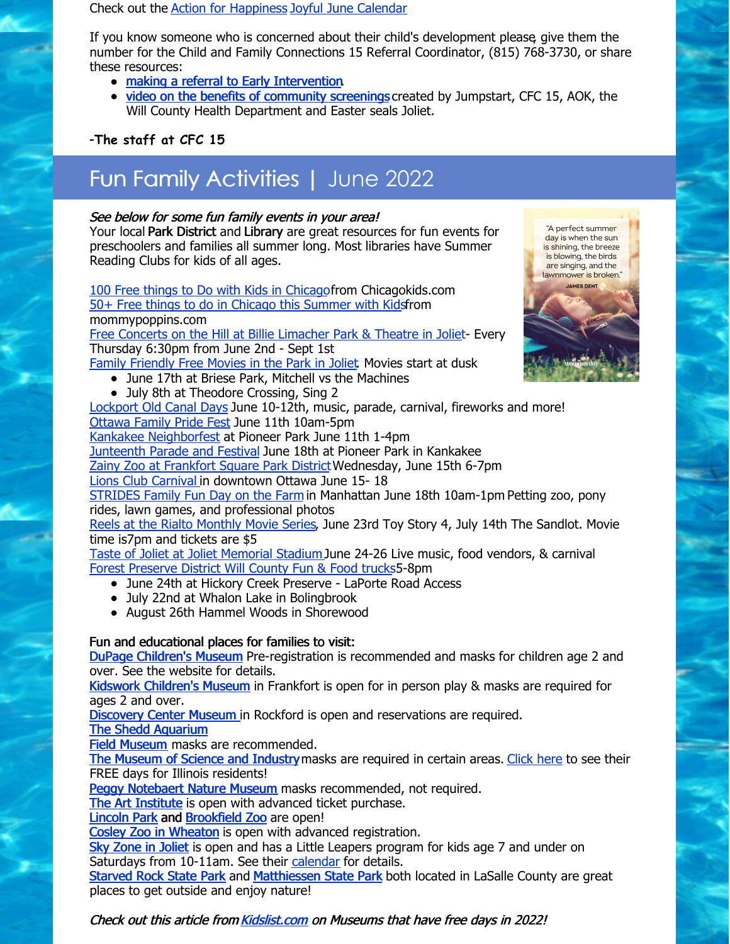Check out the Action for [Happiness](https://actionforhappiness.org/) Joyful June [Calendar](https://actionforhappiness.org/sites/default/files/Jun 2022.pdf)

If you know someone who is concerned about their child's development please, give them the number for the Child and Family Connections 15 Referral Coordinator, (815) 768-3730, or share these resources:

- making a referral to Early [Intervention](https://files.constantcontact.com/1edf8441301/0aee9df5-600b-4833-a177-1be9d8e93774.pdf?rdr=true)
- video on the benefits of [community](https://www.easterseals.com/mtffc/asq/) screenings created by Jumpstart, CFC 15, AOK, the Will County Health Department and Easter seals Joliet.

#### -**The staff at CFC 15**

# Fun Family Activities | June 2022

#### See below for some fun family events in your area!

Your local Park District and Library are great resources for fun events for preschoolers and families all summer long. Most libraries have Summer Reading Clubs for kids of all ages.

100 Free things to Do with Kids in [Chicago](https://www.chicagokids.com/Blog/Detail/66/100-free-things-to-do-with-kids-in-chicago)from Chicagokids.com 50+ Free things to do in Chicago this [Summer](https://mommypoppins.com/chicago-kids/free-activities/free-summer-family-activities) with Kidsfrom mommypoppins.com Free Concerts on the Hill at Billie [Limacher](https://www.bicentennialpark.org/free-concerts-on-the-hill-june-2-to-sept-1-2022/) Park & Theatre in Joliet- Every Thursday 6:30pm from June 2nd - Sept 1st

Family [Friendly](https://jolietpark.org/upload/NPRC_movies_park_2022.pdf) Free Movies in the Park in Joliet. Movies start at dusk

- June 17th at Briese Park, Mitchell vs the Machines
- July 8th at Theodore Crossing, Sing 2

[Lockport](https://oldcanaldays.com/) Old Canal Days June 10-12th, music, parade, carnival, fireworks and more! [Ottawa](https://pickusottawail.com/event/family-pride-festival/?instance_id=14864) Family Pride Fest June 11th 10am-5pm

Kankakee [Neighborfest](https://www.visitkankakeecounty.com/Event?EventID=2073) at Pioneer Park June 11th 1-4pm

**[Junteenth](https://www.visitkankakeecounty.com/Event?EventID=2016) Parade and Festival June 18th at Pioneer Park in Kankakee** 

Zainy Zoo at [Frankfort](https://www.facebook.com/events/frankfort-square-park-district/zainy-zoo-frankfort-square-park-district/1639982266343082/?_rdr) Square Park District Wednesday, June 15th 6-7pm

Lions Club [Carnival](https://pickusottawail.com/event/lions-club-carnival/?instance_id=16607) in downtown Ottawa June 15- 18

[STRIDES](https://www.facebook.com/events/1154493248682900/?ref=newsfeed) Family Fun Day on the Farm in Manhattan June 18th 10am-1pm Petting zoo, pony rides, lawn games, and professional photos

Reels at the Rialto [Monthly](https://rialtosquare.com/movies/) Movie Series, June 23rd Toy Story 4, July 14th The Sandlot. Movie time is7pm and tickets are \$5

Taste of Joliet at Joliet [Memorial](https://tasteofjoliet.com/) StadiumJune 24-26 Live music, food vendors, & carnival Forest [Preserve](https://www.reconnectwithnature.org/news-events/event-calendar/fun-and-food-trucks/) District Will County Fun & Food trucks5-8pm

- June 24th at Hickory Creek Preserve LaPorte Road Access
- July 22nd at Whalon Lake in Bolingbrook
- August 26th Hammel Woods in Shorewood

#### Fun and educational places for families to visit:

DuPage [Children's](https://dupagechildrens.org/) Museum Pre-registration is recommended and masks for children age 2 and over. See the website for details.

Kidswork [Children's](http://kidsworkchildrensmuseum.org/) Museum in Frankfort is open for in person play & masks are required for ages 2 and over.

[Discovery](http://www.discoverycentermuseum.org/) Center Museum in Rockford is open and reservations are required.

The Shedd [Aquarium](https://www.sheddaquarium.org/plan-a-visit)

Field [Museum](https://www.fieldmuseum.org/visit/maps-and-guides/know-you-go-visiting-safely-during-covid) masks are recommended.

The [Museum](https://www.msichicago.org/visit/know-before-you-go/) of Science and Industry masks are required in certain areas. [Click](https://www.msichicago.org/visit/ticket-prices/offers-and-discounts/illinois-free-days/) here to see their FREE days for Illinois residents!

Peggy [Notebaert](https://naturemuseum.org/plan-your-visit/hours/) Nature Museum masks recommended, not required.

The Art [Institute](https://www.artic.edu/visit) is open with advanced ticket purchase.

[Lincoln](https://www.lpzoo.org/) Park and [Brookfield](https://www.czs.org/KnowBeforeYouGo) Zoo are open!

Cosley Zoo in [Wheaton](https://cosleyzoo.org/) is open with advanced registration.

Sky [Zone](https://www.skyzone.com/joliet) in Joliet is open and has a Little Leapers program for kids age 7 and under on Saturdays from 10-11am. See their [calendar](https://www.skyzone.com/joliet/hours-and-calendar) for details.

[Starved](https://www.starvedrocklodge.com/starved-rock-state-park/) Rock State Park and [Matthiessen](https://www2.illinois.gov/dnr/Parks/Pages/Matthiessen.aspx) State Park both located in LaSalle County are great places to get outside and enjoy nature!



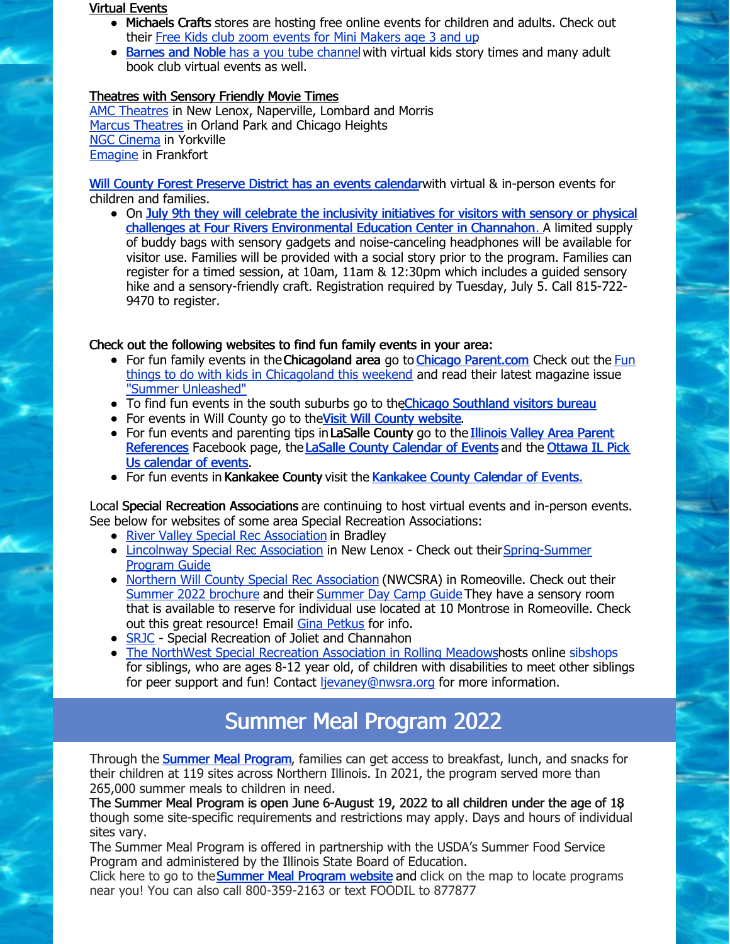#### Virtual Events

- Michaels Crafts stores are hosting free online events for children and adults. Check out their Free Kids club zoom events for Mini [Makers](https://www.michaels.com/onlineclasses?category=Kids#curated_tours_list_name=Michaels_Kids_Club_Online) age 3 and up.
- [Barnes](https://www.youtube.com/playlist?list=PL9abxW7tCFZs3TT-YPnmeE4L1omE7MNN0) and Noble has a you tube [channe](https://www.youtube.com/playlist?list=PL9abxW7tCFZs3TT-YPnmeE4L1omE7MNN0)l with virtual kids story times and many adult book club virtual events as well.

#### Theatres with Sensory Friendly Movie Times

AMC [Theatres](https://www.amctheatres.com/programs/sensory-friendly-films) in New Lenox, Naperville, Lombard and Morris Marcus [Theatres](https://www.marcustheatres.com/marcus-specials/sensory-specific-films/reel-movies-for-real-needs) in Orland Park and Chicago Heights NGC [Cinema](https://ncgmovies.com/sensory-friendly/) in Yorkville [Emagine](https://www.emagine-entertainment.com/theatres/emagine-frankfort/) in Frankfort

Will County Forest [Preserve](https://www.reconnectwithnature.org/news-events/event-calendar) District has an events calendarwith virtual & in-person events for children and families.

On July 9th they will celebrate the inclusivity initiatives for visitors with sensory or physical challenges at Four Rivers [Environmental](https://www.reconnectwithnature.org/news-events/event-calendar/four-rivers-for-all/) Education Center in Channahon[.](https://www.reconnectwithnature.org/news-events/event-calendar/four-rivers-for-all/) A limited supply of buddy bags with sensory gadgets and noise-canceling headphones will be available for visitor use. Families will be provided with a social story prior to the program. Families can register for a timed session, at 10am, 11am & 12:30pm which includes a guided sensory hike and a sensory-friendly craft. Registration required by Tuesday, July 5. Call 815-722- 9470 to register.

#### Check out the following websites to find fun family events in your area:

- For fun family events in the Chicagoland area go to Chicago [Parent.com](https://www.chicagoparent.com/) Check out the Fun things to do with kids in Chicagoland this weekend and read their latest magazine issue "Summer [Unleashed"](https://mydigitalpublication.com/publication/?m=62785&l=1&p=&pn=)
- To find fun [e](https://www.visitchicagosouthland.com/Events#results)vents in the south suburbs go to the Chicago [Southland](https://www.visitchicagosouthland.com/Events#results) visitors bureau
- For events in Will County go to the Visit Will County [website](https://www.visitwill.com/familyfriendly).
- For fun events and parenting tips in LaSalle County go to the Illinois Valley Area Parent [References](https://pickusottawail.com/calendar/) Facebook page, the LaSalle County [Calendar](http://www.enjoylasallecounty.com/events/) of Events and the Ottawa IL Pick Us calendar of events.
- For fun events in [Kan](https://www.visitkankakeecounty.com/Events)kakee [County](https://www.visitkankakeecounty.com/Events) visit the Kankakee County Calendar of [Events.](https://www.visitkankakeecounty.com/Events)

Local Special Recreation Associations are continuing to host virtual events and in-person events. See below for websites of some area Special Recreation Associations:

- River Valley Special Rec [Association](https://www.rivervalleysra.com/) in Bradley
- Lincolnway Special Rec [Association](http://lwsra.org) in New Lenox Check out their Spring-Summer Program Guide
- Northern Will County Special Rec [Association](http://nwcsra.org/) (NWCSRA) in Romeoville. Check out their Summer 2022 [brochure](https://nwcsra.org/wp-content/uploads/2022/04/Summer-2022-Brochure-Updated.pdf) and their [Summer](https://nwcsra.org/wp-content/uploads/2022/03/2022-Summer-Day-Camp-Brochure-Updated.pdf) Day Camp Guide They have a sensory room that is available to reserve for individual use located at 10 Montrose in Romeoville. Check out this great resource! Email Gina [Petkus](mailto:gpetkus@nwcsra.org) for info.
- [SRJC](https://jolietpark.org/special-recreation-of-joliet-channahon) Special Recreation of Joliet and Channahon
- The NorthWest Special Recreation [Association](https://www.nwsra.org/) in Rolling Meadowshosts [online](https://www.nwsra.org/sibshops) [sibshops](https://www.nwsra.org/sibshops) for siblings, who are ages 8-12 year old, of children with disabilities to meet other siblings for peer support and fun! Contact [ljevaney@nwsra.org](mailto:ljevaney@nwsra.org) for more information.

## Summer Meal Program 2022

Through the **[Summer](http://summerfeedingillinois.org/) Meal Program**, families can get access to breakfast, lunch, and snacks for their children at 119 sites across Northern Illinois. In 2021, the program served more than 265,000 summer meals to children in need.

The Summer Meal Program is open June 6-August 19, 2022 to all children under the age of 18, though some site-specific requirements and restrictions may apply. Days and hours of individual sites vary.

The Summer Meal Program is offered in partnership with the USDA's Summer Food Service Program and administered by the Illinois State Board of Education.

Click here to go to the [Summer](http://summerfeedingillinois.org/) Meal Program website and click on the map to locate programs near you! You can also call 800-359-2163 or text FOODIL to 877877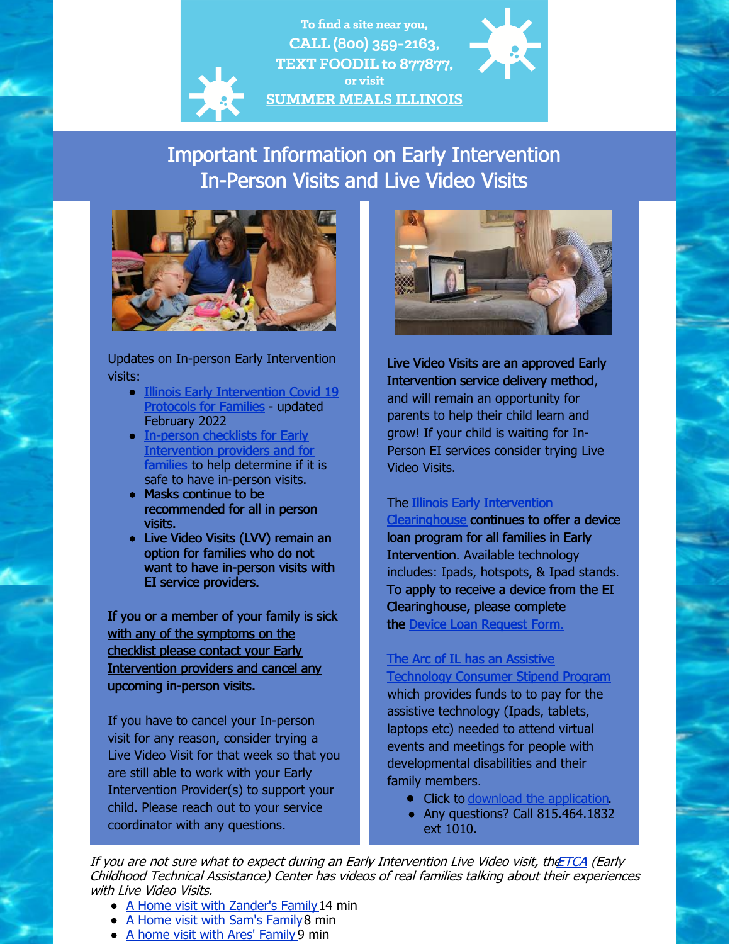### To find a site near you, CALL (800) 359-2163, TEXT FOODIL to 877877, or visit **SUMMER MEALS ILLINOIS**

## Important Information on Early Intervention In-Person Visits and Live Video Visits



Updates on In-person Early Intervention visits:

- Illinois Early [Intervention](https://files.constantcontact.com/1edf8441301/58677797-0879-4a89-9308-5f6d51829ec5.pdf?rdr=true) Covid 19 **Protocols for Families - updated** February 2022
- In-person checklists for Early [Intervention](https://eitp.education.illinois.edu/Files/COVID19/ReEntryChecklists.pdf) providers and for families to help determine if it is safe to have in-person visits.
- Masks continue to be recommended for all in person visits.
- Live Video Visits (LVV) remain an option for families who do not want to have in-person visits with EI service providers.

If you or a member of your family is sick with any of the symptoms on the checklist please contact your Early Intervention providers and cancel any upcoming in-person visits.

If you have to cancel your In-person visit for any reason, consider trying a Live Video Visit for that week so that you are still able to work with your Early Intervention Provider(s) to support your child. Please reach out to your service coordinator with any questions.



Live Video Visits are an approved Early Intervention service delivery method, and will remain an opportunity for parents to help their child learn and grow! If your child is waiting for In-Person EI services consider trying Live Video Visits.

#### The Illinois Early Intervention

[Clearinghouse](https://eiclearinghouse.org/resources/techloan/) continues to offer a device loan program for all families in Early Intervention. Available technology includes: Ipads, hotspots, & Ipad stands. To apply to receive a device from the EI Clearinghouse, please complete the Device Loan [Request](https://eiclearinghouse.org/loan/) Form.

#### The Arc of IL has an Assistive [Technology](https://thearcofillinois.salsalabs.org/consumerstipendtechnology?wvpId=5ef4fe47-9996-4b85-a40b-c3ee919ebb09) Consumer Stipend Program

which provides funds to to pay for the assistive technology (Ipads, tablets, laptops etc) needed to attend virtual events and meetings for people with developmental disabilities and their family members.

- Click to download the [application](https://files.constantcontact.com/1edf8441301/534745c6-d22f-48d4-9124-276b0d535ad9.pdf?rdr=true).
- Any questions? Call 815.464.1832 ext 1010.

If you are not sure what to expect during an Early Intervention Live Video visit, th[eETCA](https://www.youtube.com/user/ECTACenter/videos) (Early Childhood Technical Assistance) Center has videos of real families talking about their experiences with Live Video Visits.

- A Home visit with [Zander's](https://www.youtube.com/watch?v=gXkHD71g-Hc) Family 14 min
- A Home visit with Sam's [Family](https://www.youtube.com/watch?v=Oog-0_BcIWw&t=110s) 8 min
- A home visit with Ares' [Family](https://www.youtube.com/watch?v=pz_81OFGWxc&t=89s) 9 min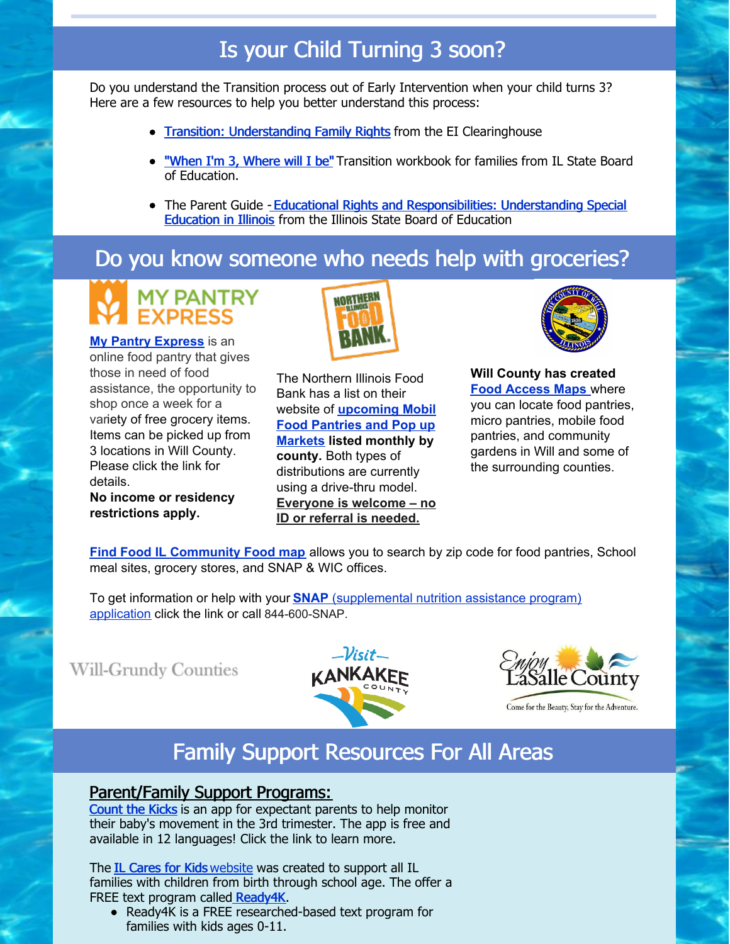# Is your Child Turning 3 soon?

Do you understand the Transition process out of Early Intervention when your child turns 3? Here are a few resources to help you better understand this process:

- Transition: [Understanding](https://files.constantcontact.com/1edf8441301/d908f093-bb3b-42be-98db-75e4eda29a21.pdf?rdr=true) Family Rights from the EI Clearinghouse
- ["When](https://www.childfind-idea-il.us/Materials/transition_workbook.pdf) I'm 3, Where will I be" Transition workbook for families from IL State Board of Education.
- The Parent Guide Educational Rights and [Responsibilities:](https://files.constantcontact.com/1edf8441301/c1a2f500-bb28-4237-a2ff-3f6f28d9c38b.pdf?rdr=true) Understanding Special Education in Illinois from the Illinois State Board of Education

## Do you know someone who needs help with groceries?



**My Pantry [Express](https://www.mypantryexpress.org/)** is an online food pantry that gives those in need of food assistance, the opportunity to shop once a week for a variety of free grocery items. Items can be picked up from 3 locations in Will County. Please click the link for details.

**No income or residency restrictions apply.**



The Northern Illinois Food Bank has a list on their website of **[upcoming](https://solvehungertoday.org/get-help/distributions/) Mobil Food Pantries and Pop up Markets listed monthly by county.** Both types of distributions are currently using a drive-thru model. **Everyone is welcome – no ID or referral is needed.**



**Will County has created Food [Access](http://www.willcountyillinois.com/FindFood) Maps** where you can locate food pantries, micro pantries, mobile food pantries, and community gardens in Will and some of the surrounding counties.

**Find Food IL [Community](https://eat-move-save.extension.illinois.edu/#find-food-il) Food map** allows you to search by zip code for food pantries, School meal sites, grocery stores, and SNAP & WIC offices.

To get information or help with your **[SNAP](https://solvehungertoday.org/get-help/snap-food-stamps/)** [\(supplemental](https://solvehungertoday.org/get-help/snap-food-stamps/) nutrition assistance program) application click the link or call 844-600-SNAP.

**Will-Grundy Counties** 





Come for the Beauty, Stay for the Adventure.

# Family Support Resources For All Areas

### Parent/Family Support Programs:

[Count](https://countthekicks.org/why-we-count/parentacademy/) the Kicks is an app for expectant parents to help monitor their baby's movement in the 3rd trimester. The app is free and available in 12 languages! Click the link to learn more.

The IL [Cares](https://www.illinoiscaresforkids.org/) for Kids [website](https://www.illinoiscaresforkids.org/) was created to support all IL families with children from birth through school age. The offer a FREE text program called [Ready4K](https://www.illinoiscaresforkids.org/ready4k).

Ready4K is a FREE researched-based text program for families with kids ages 0-11.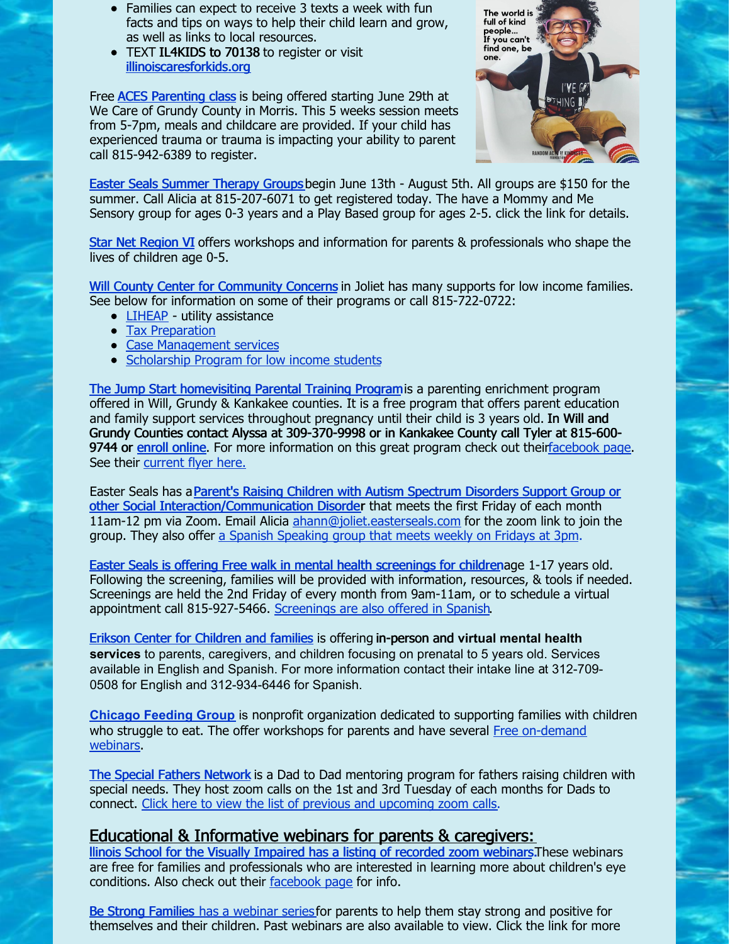- Families can expect to receive 3 texts a week with fun facts and tips on ways to help their child learn and grow, as well as links to local resources.
- TEXT IL4KIDS to 70138 to register or visit [illinoiscaresforkids.org](https://www.illinoiscaresforkids.org/)

Free ACES [Parenting](https://files.constantcontact.com/1edf8441301/82959e86-fb5a-471f-8b5f-2bb21261e524.pdf?rdr=true) class is being offered starting June 29th at We Care of Grundy County in Morris. This 5 weeks session meets from 5-7pm, meals and childcare are provided. If your child has experienced trauma or trauma is impacting your ability to parent call 815-942-6389 to register.



Easter Seals [Summer](https://www.easterseals.com/joliet/our-programs/childrens-services/summer-programs.html) Therapy Group[s](https://www.easterseals.com/joliet/our-programs/childrens-services/summer-programs.html) begin June 13th - August 5th. All groups are \$150 for the summer. Call Alicia at 815-207-6071 to get registered today. The have a Mommy and Me Sensory group for ages 0-3 years and a Play Based group for ages 2-5. click the link for details.

Star Net [Region](https://www.swcccase.org/starnet) VI offers workshops and information for parents & professionals who shape the lives of children age 0-5.

Will County Center for [Community](https://wcccc.net/) Concerns in Joliet has many supports for low income families. See below for information on some of their programs or call 815-722-0722:

- [LIHEAP](https://files.constantcontact.com/1edf8441301/e7a430fc-90fe-4d69-9f81-b3ce089e605f.pdf?rdr=true) utility assistance
- Tax [Preparation](https://files.constantcontact.com/1edf8441301/f0ca05b9-531f-4c1a-9e75-79446e710fbe.pdf?rdr=true)
- Case [Management](https://files.constantcontact.com/1edf8441301/768044b2-6d5a-43c4-b11b-c31f6984ea9c.pdf?rdr=true) services
- [Scholarship](https://wcccc.net/individual-and-family-assistance/scholarships/) Program for low income students

The Jump Start [homevisiting](https://parentasexpert.com/) Parental Training Programis a parenting enrichment program offered in Will, Grundy & Kankakee counties. It is a free program that offers parent education and family support services throughout pregnancy until their child is 3 years old. In Will and Grundy Counties contact Alyssa at 309-370-9998 or in Kankakee County call Tyler at 815-600 9744 or enroll [online.](https://parentasexpert.com/enroll/) For more information on this great program check out thei[rfacebook](https://www.facebook.com/eastersealsjumpstart) page. See their [current](https://files.constantcontact.com/1edf8441301/e5dcc3c7-3fb1-47fc-850f-d76e0520e2f6.pdf?rdr=true) flyer here.

Easter Seals has a Parent's Raising Children with Autism Spectrum Disorders Support Group or other Social [Interaction/Communication](https://files.constantcontact.com/1edf8441301/69174703-1597-4bfd-a0bd-af2e4488c6a5.pdf?rdr=true) Disorder that meets the first Friday of each month 11am-12 pm via Zoom. Email Alicia [ahann@joliet.easterseals.com](mailto:ahann@joliet.easterseals.com) for the zoom link to join the group. They also offer a Spanish [Speaking](https://files.constantcontact.com/1edf8441301/4207b08d-54a4-476f-a82a-9080e6ccc8ea.pdf?rdr=true) group that meets weekly on Fridays at 3pm.

Easter Seals is offering Free walk in mental health [screenings](https://files.constantcontact.com/1edf8441301/826f8aa6-9caf-4eb5-b2b2-60e2f2ac05be.pdf?rdr=true) for childrenage 1-17 years old. Following the screening, families will be provided with information, resources, & tools if needed. Screenings are held the 2nd Friday of every month from 9am-11am, or to schedule a virtual appointment call 815-927-5466. [Screenings](https://files.constantcontact.com/1edf8441301/2149bfdf-ce09-48e5-85ad-9e9f4a88636d.pdf?rdr=true) are also offered in Spanish.

Erikson Center for [Children](https://www.erikson.edu/center-children-families/) and families is offering in-person and **virtual mental health services** to parents, caregivers, and children focusing on prenatal to 5 years old. Services available in English and Spanish. For more information contact their intake line at 312-709- 0508 for English and 312-934-6446 for Spanish.

**[Chicago](https://chicagofeedinggroup.org/) Feeding Group** is nonprofit organization dedicated to supporting families with children who struggle to eat. The offer workshops for parents and have several Free [on-demand](https://chicagofeedinggroup.thinkific.com/) webinars.

The Special Fathers [Network](https://21stcenturydads.org/) is a Dad to Dad mentoring program for fathers raising children with special needs. They host zoom calls on the 1st and 3rd Tuesday of each months for Dads to connect. Click here to view the list of previous and [upcoming](https://21stcenturydads.org/zoom-calls/) zoom calls.

#### Educational & Informative webinars for parents & caregivers:

llinois School for the Visually [Impaired](https://www.dhs.state.il.us/page.aspx?item=129866) has a listing of recorded zoom webinars.These webinars are free for families and professionals who are interested in learning more about children's eye conditions. Also check out their [facebook](https://www.facebook.com/Opening-Doors-Illinois-School-for-the-Visually-Impaired-1401449480093203/) page for info.

Be Strong [Families](https://www.bestrongfamilies.org/covid-19-support) has a [webinar](https://www.bestrongfamilies.org/covid-19-support) series for parents to help them stay strong and positive for themselves and their children. Past webinars are also available to view. Click the link for more